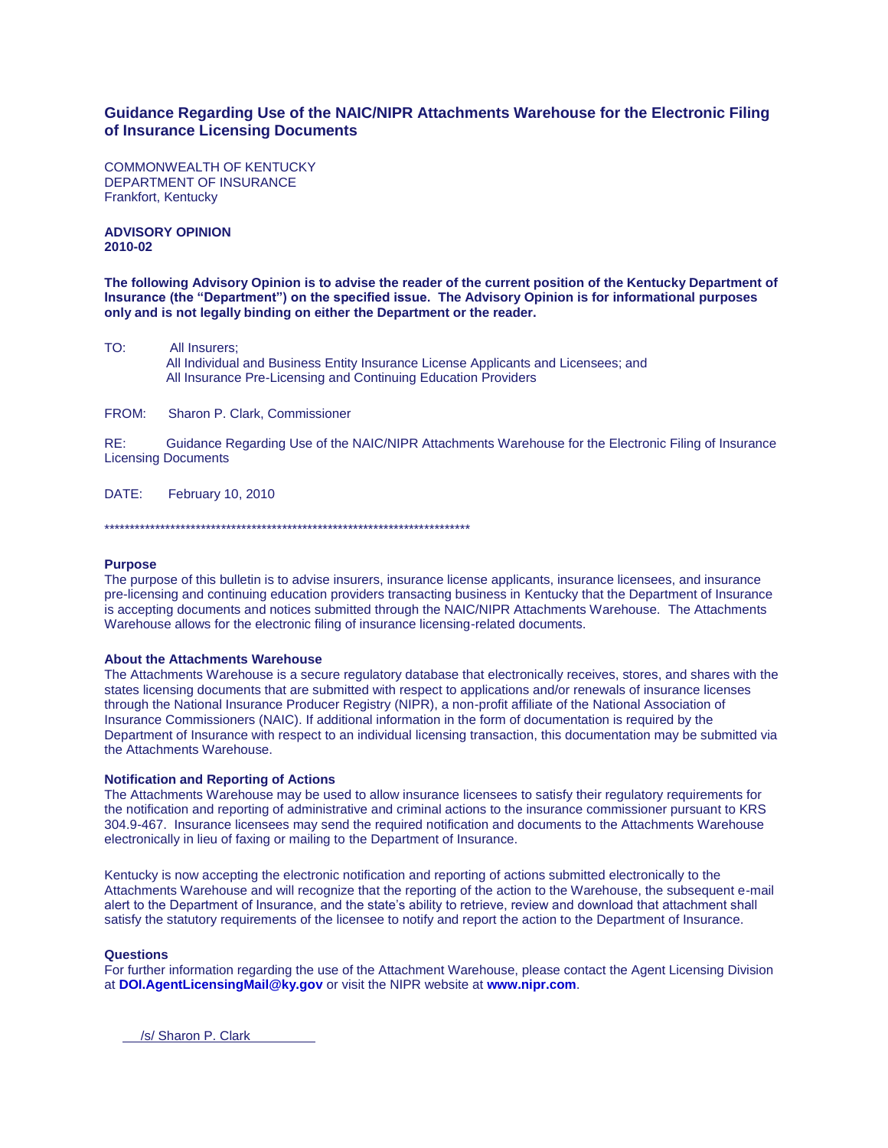# **Guidance Regarding Use of the NAIC/NIPR Attachments Warehouse for the Electronic Filing of Insurance Licensing Documents**

COMMONWEALTH OF KENTUCKY DEPARTMENT OF INSURANCE Frankfort, Kentucky

**ADVISORY OPINION 2010-02**

**The following Advisory Opinion is to advise the reader of the current position of the Kentucky Department of Insurance (the "Department") on the specified issue. The Advisory Opinion is for informational purposes only and is not legally binding on either the Department or the reader.**

TO: All Insurers; All Individual and Business Entity Insurance License Applicants and Licensees; and All Insurance Pre-Licensing and Continuing Education Providers

FROM: Sharon P. Clark, Commissioner

RE: Guidance Regarding Use of the NAIC/NIPR Attachments Warehouse for the Electronic Filing of Insurance Licensing Documents

DATE: February 10, 2010

\*\*\*\*\*\*\*\*\*\*\*\*\*\*\*\*\*\*\*\*\*\*\*\*\*\*\*\*\*\*\*\*\*\*\*\*\*\*\*\*\*\*\*\*\*\*\*\*\*\*\*\*\*\*\*\*\*\*\*\*\*\*\*\*\*\*\*\*\*\*\*\*

## **Purpose**

The purpose of this bulletin is to advise insurers, insurance license applicants, insurance licensees, and insurance pre-licensing and continuing education providers transacting business in Kentucky that the Department of Insurance is accepting documents and notices submitted through the NAIC/NIPR Attachments Warehouse. The Attachments Warehouse allows for the electronic filing of insurance licensing-related documents.

#### **About the Attachments Warehouse**

The Attachments Warehouse is a secure regulatory database that electronically receives, stores, and shares with the states licensing documents that are submitted with respect to applications and/or renewals of insurance licenses through the National Insurance Producer Registry (NIPR), a non-profit affiliate of the National Association of Insurance Commissioners (NAIC). If additional information in the form of documentation is required by the Department of Insurance with respect to an individual licensing transaction, this documentation may be submitted via the Attachments Warehouse.

## **Notification and Reporting of Actions**

The Attachments Warehouse may be used to allow insurance licensees to satisfy their regulatory requirements for the notification and reporting of administrative and criminal actions to the insurance commissioner pursuant to KRS 304.9-467. Insurance licensees may send the required notification and documents to the Attachments Warehouse electronically in lieu of faxing or mailing to the Department of Insurance.

Kentucky is now accepting the electronic notification and reporting of actions submitted electronically to the Attachments Warehouse and will recognize that the reporting of the action to the Warehouse, the subsequent e-mail alert to the Department of Insurance, and the state's ability to retrieve, review and download that attachment shall satisfy the statutory requirements of the licensee to notify and report the action to the Department of Insurance.

# **Questions**

For further information regarding the use of the Attachment Warehouse, please contact the Agent Licensing Division at **[DOI.AgentLicensingMail@ky.gov](mailto:DOI.AgentLicensingMail@ky.gov)** or visit the NIPR website at **[www.nipr.com](http://www.nipr.com/)**.

/s/ Sharon P. Clark